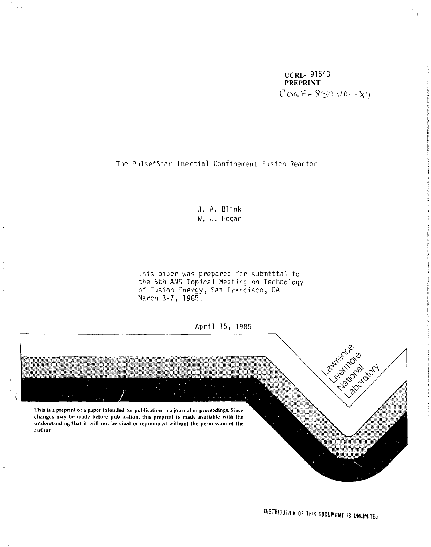UCRL- 91643 PREPRINT  $COMF - 850310 - -89$ 

The Pulse\*Star Inertial Confinement Fusion Reactor

J. A. Blink W. J. Hogan

This paper was prepared for submittal to the 6th ANS Topical Meeting on Technology of Fusion Energy, San Francisco, CA March 3-7, 1985.

ċ

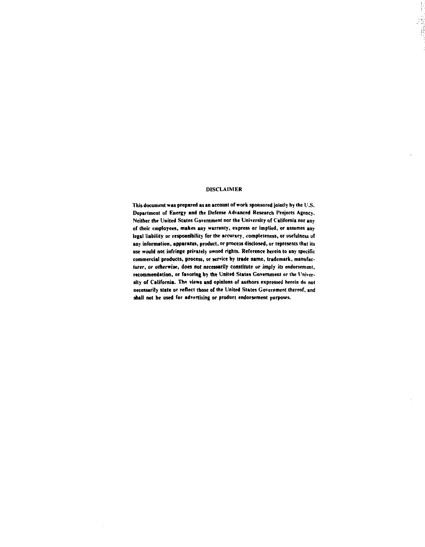## **DISCLAIMER**

 $\begin{array}{c} 1 \\ 1 \\ 2 \end{array}$ 

đ

**This document was prepared as an account of work sponsored jointly by the U .S. Department of Energy and the Defense Advanced Research Projects Agency. Neither the United States Government nor the University of California nor any of their employees, makes any warranty, express or implied, or assumes any legal liability or responsibility for the accuracy, completeness, or usefulness of any information, apparatus, product, or process disclosed, or represents that its use would not infringe privately owned rights. Reference herein to any specific commercial products, process, or service by trade name, trademark, manufacturer, or otherwise, does not necessarily constitute or imply its endorsement, recommendation, or favoring by die United States Government or the University of California. The views and opinions of authors expressed herein do not necessarily state or reflect those or the United States Government thereof, and shall not be used for advertising or product endorsement purposes.**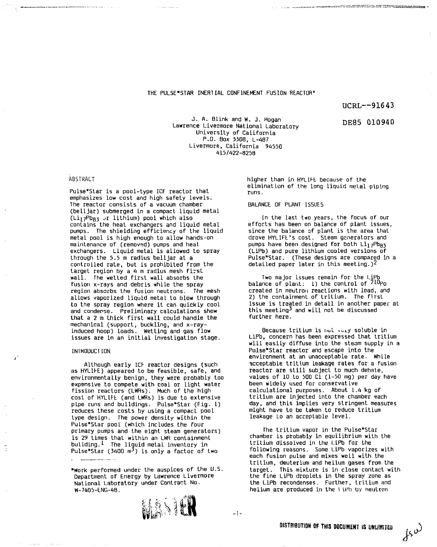## THE PULSE\*STAR INERTIAL CONFINEMENT FUSION REACTOR"

 $UCRL--91643$ 

DE85 010940

asaw.'' - sun asaraw.'' ing Tili kumatan <del>i</del>sma

J. A. Blink and W. J. Hogan Lawrence Livermore National Laboratory University of California P.O. Box 550B, L-487 Livermore, California 94550 415/422-8258

### ABSTRACT

Pulse\*Star is a pool-type ICF reactor that emphasizes low cost and high safety levels. The reactor consists of a vacuum chamber (belljar) submerged in a compact liquid metal  $(Li<sub>17</sub>Pb<sub>83</sub>$  or lithium) pool which also contains the heat exchangers and liquid metal pumps. The shielding efficiency of the liquid metal pool is high enough to allow hands-on maintenance of (removed) pumps and heal exchangers. Liquid metal is allowed to spray through the 5.5 m radius belljar at a controlled rate, but is prohibited from the target region by a 4 m radius mesh first wall. The wetted first wall absorbs the fusion x-rays and debris while the spray region absorbs the fusion neutrons. The mesh allows vaporized liquid metal to blow through to the spray region where it can quickly cool and condense. Preliminary calculations show that a 2 m thick first wall could handle the mechanical (support, buckling, and x-rayinduced hoop) loads. Wetting and gas flow issues are in an initial investigation stage.

#### INIKOUUCTION

Although early 1CF reactor designs (such as HYLIFE) appeared to be feasible, safe, and environmentally benign, they were probably too expensive to compete with coal or light water fission reactors (LWRs). Much of the high cost of HYLIFt (and LWRs) is due to extensive pipe runs and buildings. Pulse\*Star (Fig. 1) reduces these costs by using a compact pool type design. The power density within the Pulse\*Star pool (which includes the four primary pumps and the eight steam generators) is 29 times that within an LWR containment building. $1$  The liguid metal inventory in Pulse\*Star (3400  $m<sup>3</sup>$ ) is only a factor of two

"Work performed under the auspices of the U.S. Department of Energy by Lawrence Livermore National Laboratory under Contract No. W-7405-ENG-48.



 $-1-$ 

higher than in HYLIFE. because of the elimination of the long liquid metal piping runs.

## BALANCE OF PLANT ISSUES

In the last two years, the focus of our efforts has been on balance of plant issues, since the balance af plant is the area that drove HYLIFt's cost. Steam generators and pumps have been designed for both  $Li_1$ <sub>7</sub>Pb<sub>R3</sub> (LiPb) and pure lithium cooled versions of Pulse\*Star. (These designs are compared in a detailed paper later in this meeting.)<sup>2</sup>

Two major issues remain for the LiP balance of plant: [1] the control of <sup>21Up</sup>o created in neutron reactions with lead, and 2) the containment of tritium. The first issue is treated in detail in another paper at this meeting^ and will not be discussed further here.

Because tritium is not very soluble in LiPb, concern has been expressed that tritium will easily diffuse into the steam supply in a Pulse\*Star reactor and escape into the environment at an unacceptable rate. While acceptable tritium leakage rates for a fusion reactor are still subject to much debate, values of 10 to 500 Ci (1-50 mg) per day have been widely used for conservative calculational purposes. About 1.4 kg of tritium are injected into the chamber each day, and this implies very stringent measures might have to be taken to reduce tritium leakage to an acceptable level.

The tritium vapor in the Pulse\*Star chamber is probably in equilibrium with the tritium dissolved in the LiPb for the following reasons. Some LiPb vaporizes with each fusion pulse and mixes well with the tritium, deuterium and helium gases from the target. This mixture is in close contact with the fine LiPb droplets in the spray zone as the LiPb recondenses. Further, tritium and helium are produced in the l *u'b* by neutron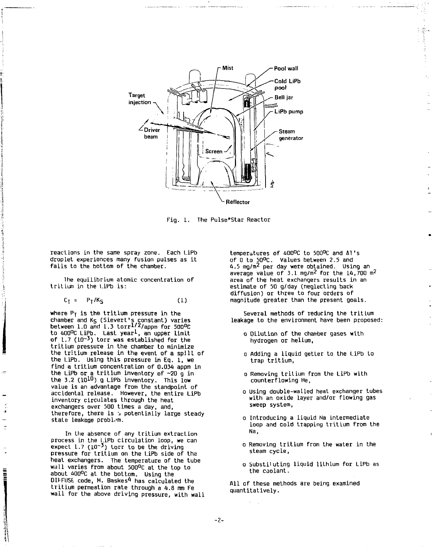

**Fig. 1. The Pulse\*Star Reactor** 

**reactions in the same spray zone. Each LiPb droplet experiences many fusion pulses as it falls to the bottom of the chamber.** 

**lhe equilibrium atomic concentration of tritium in the l.iPb is:** 

$$
C_{\tilde{l}} = P_{\tilde{l}}/K_{\tilde{S}} \tag{1}
$$

**where Pj is the tritium pressure in the chamber and Ks (Slevert's constant) varies between 1.0 and 1.3 torr^/appm for 500<sup>D</sup> C to 400°C LiPb. Last year<sup>1</sup>-, an upper limit**  of 1.7 (10<sup>-3</sup>) torr was established for the **tritium pressure in the chamber to minimize the tritium release in the event of a spill of the LiPb. Using this pressure in Eq. 1, we find a tritium concentration of 0.034 appm in the LiPb or a tritium inventory of ~20 g in**  the 3.2 (10<sup>10</sup>) g LiPb inventory. This low **value is an advantage from the standpoint of accidental release. However, the entire LiPb inventory circulates through the heat exchangers over 500 times a day, and, therefore, there is j potentially large steady state leakage problem.** 

**In the absence of any tritium extraction process in the l.iPb circulation loop, we can expect 1.7 (L0~<sup>3</sup> ) torr to be the driving pressure for tritium on the l.iPb side of the heat exchangers. The temperature of the tube wall varies from about 500°C at the top to about A00°C at the bottom. Using the DIFFUSE, code, M. Baskes\*1 has calculated the tritium permeation rate through a 4.8 mm Fe wall for the above driving pressure, with wall** 

ii<br>India

**temperatures of 400°C to 500°C and AT's of 0 to 50°C. Values between 2.5 and 4.5 mg/m<sup>2</sup> per day were obtained. Using an average value of 3.1 mg/m2 for the 14,700 m<sup>2</sup> area of the heat exchangers results in an estimate of 50 g/day (neglecting back diffusion) or three to four orders of magnitude greater than the present goals.** 

ł

**Several methods of reducing the tritium leakage to the environment have been proposed:** 

- **o Dilution of the chamber gases with hydrogen or helium,**
- **o Adding a liquid getter to the LiPb to trap tritium,**
- **o Removing tritium from the LiPb with counterflowing He,**
- **o Using double-walled heat exchanger tubes with an oxide layer and/or flowing gas sweep system,**
- **o Introducing a liquid Na intermediate loop and cold trapping tritium from the Na,**
- **o Removing tritium from the water in the steam cycle,**
- **o Substil uting liquid lithium for LiPb as the coolant.**

**All of these methods are being examined quantitatively.** 

**-2-**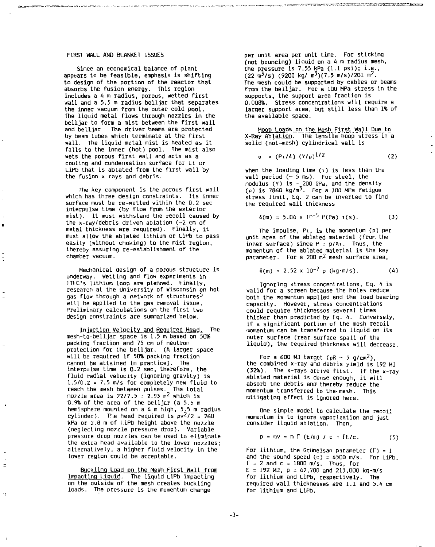## FIRST WALL AND BLANKET ISSUES

Since an economical balance of plant appears to be feasible, emphasis is shifting to design of the portion of the reactor that absorbs the fusion energy. This region includes a 4 m radius, porous, wetted first wall and a 5.5 m radius belljar that separates the inner vacuum from the outer cold pool. The liquid metal flows through nozzles in the belljar to form a mist between the first wall and beLljar The driver beams are protected by beam tubes which terminate at the first wall. The liquid metal mist is heated as it falls to the inner (hot) pool. The mist also wets the porous first wall and acts as a cooling and condensation surface for Li or LiPb that is ablated from the first wall by the fusion x rays and debris.

The key component is the porous first wall which has three design constraints. Its inner surface must be re-wetted within the Q.2 sec interpulse time (by flow from the exterior mist). It must withstand the recoil caused by the x-ray/debris driven ablation (~2 cm of metal thickness are required). Finally, it must allow the ablated lithium or LiPb to pass easily (without choking) to the mist region, thereby assuring re-establishment of the chamber vacuum.

Mechanical design of a porous structure is underway. Wetting and flow experiments in ETtC's lithium loop are planned. Finally, research at the University of Wisconsin on hot gas flow through a network of structures<sup>5</sup> will be applied to the gas removal issue. Preliminary calculations on the first two design constraints are summarized below.

Injection Velocity and Required Head. The mesh-to-belljar space is 1.5 m based on 50% packing fraction and 75 cm of neutron protection for the belljar. (A larger space will be required if 50% packing fraction cannot be attained in practice). The interpulse time is 0.2 sec, therefore, the fluid radial velocity (ignoring gravity) is 1.5/0.2 = 7.5 m/s for completely new fluid to reach the mesh between pulses. The total nozzle area is 22/7.5 = 2.93  $\mathrm{m}^2$  which is 0.9% of the area of the belljcr (a 5.5 m hemisphere mounted on a 4 m high,  $5.5$  m radius cylinder). The head required is  $pv^2/2 = 260$ kPa or 2.8 m of I iPb height above the nozzle (neglecting nozzle pressure drop). Variable pressure drop nozzles can be used to eliminate the extra head available to the lower nozzles; alternatively, a higher fluid velocity in the lower region could be acceptable.

Buckling Load on the Mesh First Wall from Impacting Liquid. The liquid LiPb impacting on the outside of the mesh creates buckling loads. The pressure is the momentum change

 $\equiv$ 

٠,

per unit area per unit time. For sticking (not bouncing) liauid on a 4 m radius mesh, the pressure is 7.55 kPa (1.1 psi); i.e.,  $(22 \text{ m}^3/\text{s})$  (9200 kg/ m<sup>3</sup>)(7.5 m/s)/201 m<sup>2</sup>. The mesh could be supported by cables or beams from the belljar. For a 100 MPa stress in the supports, the support area fraction is 0.008%. Stress concentrations will require a larger support area, but still less than 1% of the available space.

are to remove the content was not content to the content of the content of the content of the content of the content of the content of the content of the content of the content of the content of the content of the content

Hoop Loads on the Mesh First Wall Due to X-Ray Ablation. The tensile hoop stress in a solid (not-mesh) cylindrical wall is

$$
\sigma = (P\tau/\delta) (Y/\rho)^{1/2}
$$
 (2)

when the loading time (i) is less than the wall period (~ 5 ms). For steel, the modulus (Y) is ~ 200 GPa, and the density (p) is 7860 kg/m<sup>3</sup> . For a 100 MPa fatigue stress limit, Eq. 2 can be inverted to find the required wall thickness

$$
\delta(m) = 5.04 \times 10^{-5} P(Pa) \cdot (s). \tag{3}
$$

The impulse, Pi, is the momentum (p) per unit area of the ablated material (from the inner surface) since P *-* p/Ai. Thus, the momentum of the ablated material is the key parameter. For a 200  $m^2$  mesh surface area,

$$
\delta(m) = 2.52 \times 10^{-7} \text{ p (kg-m/s)}.
$$
 (4)

Ignoring stress concentrations, Eq. 4 is valid for a screen because the holes reduce both the momentum applied and the load bearing capacity. However, stress concentrations could require thicknesses several times thicker than predicted by Eq. 4. Conversely, if a significant portion of the mesh recoil momentum can be transferred to liquid on its outer surface (rear surface spall of the liquid), the required thickness will decrease.

For a 600 MJ target ( $\rho$ R ~ 3 g/cm<sup>2</sup>), the combined x-ray and debris yield is 192 MJ (32%). The x-rays arrive first. If the x-ray ablated material is dense enough, it will absorb tne debris and thereby reduce the momentum transferred to the-mesh. This mitigating effect is ignored here.

One simple model to calculate the recoil momentum is to ignore vaporization and just consider liquid ablation. Then,

$$
p = mv = m \int (E/m) / c = FE/c. \tag{5}
$$

For lithium, the Grüneisan parameter  $(\Gamma) = 1$ and the sound speed (c) =  $4500$  m/s. For LiPb,  $\Gamma = 2$  and  $c = 1800$  m/s. Thus, for  $E = 192$  MJ,  $p = 42,700$  and  $213,000$  kg·m/s for lithium and LiPb, respectively. The required wall thicknesses are 1.1 and 5.4 cm for lithium and LiPb.